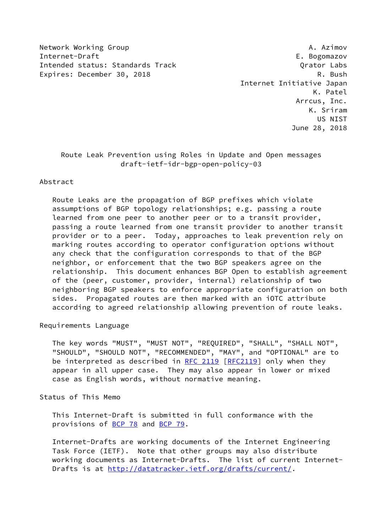Network Working Group **A. Azimov** A. Azimov Internet-Draft E. Bogomazov Intended status: Standards Track Crator Constant Content Cabs Expires: December 30, 2018 R. Bush

 Internet Initiative Japan K. Patel Arrcus, Inc. K. Sriram US NIST June 28, 2018

# Route Leak Prevention using Roles in Update and Open messages draft-ietf-idr-bgp-open-policy-03

## Abstract

 Route Leaks are the propagation of BGP prefixes which violate assumptions of BGP topology relationships; e.g. passing a route learned from one peer to another peer or to a transit provider, passing a route learned from one transit provider to another transit provider or to a peer. Today, approaches to leak prevention rely on marking routes according to operator configuration options without any check that the configuration corresponds to that of the BGP neighbor, or enforcement that the two BGP speakers agree on the relationship. This document enhances BGP Open to establish agreement of the (peer, customer, provider, internal) relationship of two neighboring BGP speakers to enforce appropriate configuration on both sides. Propagated routes are then marked with an iOTC attribute according to agreed relationship allowing prevention of route leaks.

Requirements Language

 The key words "MUST", "MUST NOT", "REQUIRED", "SHALL", "SHALL NOT", "SHOULD", "SHOULD NOT", "RECOMMENDED", "MAY", and "OPTIONAL" are to be interpreted as described in [RFC 2119 \[RFC2119](https://datatracker.ietf.org/doc/pdf/rfc2119)] only when they appear in all upper case. They may also appear in lower or mixed case as English words, without normative meaning.

Status of This Memo

 This Internet-Draft is submitted in full conformance with the provisions of [BCP 78](https://datatracker.ietf.org/doc/pdf/bcp78) and [BCP 79](https://datatracker.ietf.org/doc/pdf/bcp79).

 Internet-Drafts are working documents of the Internet Engineering Task Force (IETF). Note that other groups may also distribute working documents as Internet-Drafts. The list of current Internet- Drafts is at<http://datatracker.ietf.org/drafts/current/>.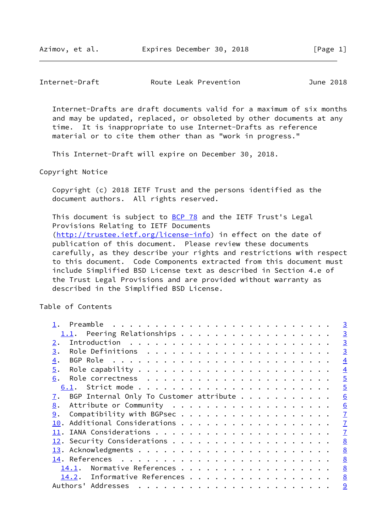Internet-Drafts are draft documents valid for a maximum of six months and may be updated, replaced, or obsoleted by other documents at any time. It is inappropriate to use Internet-Drafts as reference material or to cite them other than as "work in progress."

This Internet-Draft will expire on December 30, 2018.

Copyright Notice

 Copyright (c) 2018 IETF Trust and the persons identified as the document authors. All rights reserved.

This document is subject to [BCP 78](https://datatracker.ietf.org/doc/pdf/bcp78) and the IETF Trust's Legal Provisions Relating to IETF Documents [\(http://trustee.ietf.org/license-info](http://trustee.ietf.org/license-info)) in effect on the date of publication of this document. Please review these documents carefully, as they describe your rights and restrictions with respect to this document. Code Components extracted from this document must include Simplified BSD License text as described in Section 4.e of the Trust Legal Provisions and are provided without warranty as described in the Simplified BSD License.

Table of Contents

| Preamble                                                                | $\overline{3}$  |
|-------------------------------------------------------------------------|-----------------|
| 1.1. Peering Relationships                                              | $\overline{3}$  |
| 2.                                                                      | $\overline{3}$  |
| 3.                                                                      | $\overline{3}$  |
| 4.                                                                      | $\overline{4}$  |
| 5.                                                                      | $\overline{4}$  |
| 6.                                                                      | $\overline{5}$  |
|                                                                         | $\overline{5}$  |
| BGP Internal Only To Customer attribute $\dots \dots \dots \dots$<br>7. | 6               |
| 8.                                                                      | 6               |
| 9.                                                                      | $\mathbf{I}$    |
| 10.                                                                     | $\mathbf{I}$    |
|                                                                         | $\overline{1}$  |
|                                                                         | 8               |
|                                                                         | 8               |
|                                                                         | 8               |
| Normative References<br>14.1.                                           | $\underline{8}$ |
| Informative References<br>14.2.                                         | 8               |
| Authors' Addresses                                                      | 9               |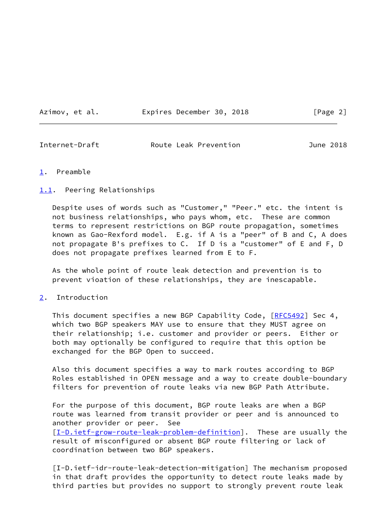Azimov, et al. Expires December 30, 2018 [Page 2]

<span id="page-2-1"></span>Internet-Draft Route Leak Prevention June 2018

### <span id="page-2-0"></span>[1](#page-2-0). Preamble

## <span id="page-2-2"></span>[1.1](#page-2-2). Peering Relationships

 Despite uses of words such as "Customer," "Peer." etc. the intent is not business relationships, who pays whom, etc. These are common terms to represent restrictions on BGP route propagation, sometimes known as Gao-Rexford model. E.g. if A is a "peer" of B and C, A does not propagate B's prefixes to C. If D is a "customer" of E and F, D does not propagate prefixes learned from E to F.

 As the whole point of route leak detection and prevention is to prevent vioation of these relationships, they are inescapable.

<span id="page-2-3"></span>[2](#page-2-3). Introduction

This document specifies a new BGP Capability Code, [[RFC5492\]](https://datatracker.ietf.org/doc/pdf/rfc5492) Sec 4, which two BGP speakers MAY use to ensure that they MUST agree on their relationship; i.e. customer and provider or peers. Either or both may optionally be configured to require that this option be exchanged for the BGP Open to succeed.

 Also this document specifies a way to mark routes according to BGP Roles established in OPEN message and a way to create double-boundary filters for prevention of route leaks via new BGP Path Attribute.

 For the purpose of this document, BGP route leaks are when a BGP route was learned from transit provider or peer and is announced to another provider or peer. See [\[I-D.ietf-grow-route-leak-problem-definition](#page-9-1)]. These are usually the result of misconfigured or absent BGP route filtering or lack of coordination between two BGP speakers.

 [I-D.ietf-idr-route-leak-detection-mitigation] The mechanism proposed in that draft provides the opportunity to detect route leaks made by third parties but provides no support to strongly prevent route leak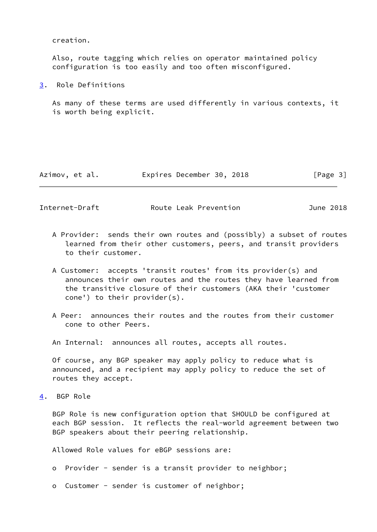creation.

 Also, route tagging which relies on operator maintained policy configuration is too easily and too often misconfigured.

<span id="page-3-0"></span>[3](#page-3-0). Role Definitions

 As many of these terms are used differently in various contexts, it is worth being explicit.

| Azimov, et al. | Expires December 30, 2018 | [Page 3] |
|----------------|---------------------------|----------|
|----------------|---------------------------|----------|

<span id="page-3-2"></span>Internet-Draft Route Leak Prevention June 2018

- A Provider: sends their own routes and (possibly) a subset of routes learned from their other customers, peers, and transit providers to their customer.
- A Customer: accepts 'transit routes' from its provider(s) and announces their own routes and the routes they have learned from the transitive closure of their customers (AKA their 'customer cone') to their provider(s).
- A Peer: announces their routes and the routes from their customer cone to other Peers.
- An Internal: announces all routes, accepts all routes.

 Of course, any BGP speaker may apply policy to reduce what is announced, and a recipient may apply policy to reduce the set of routes they accept.

<span id="page-3-1"></span>[4](#page-3-1). BGP Role

 BGP Role is new configuration option that SHOULD be configured at each BGP session. It reflects the real-world agreement between two BGP speakers about their peering relationship.

Allowed Role values for eBGP sessions are:

- o Provider sender is a transit provider to neighbor;
- o Customer sender is customer of neighbor;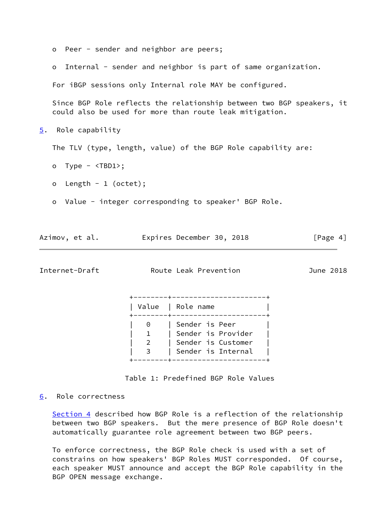<span id="page-4-0"></span>

|    | $\circ$                           | Peer - sender and neighbor are peers;                                                                                            |             |
|----|-----------------------------------|----------------------------------------------------------------------------------------------------------------------------------|-------------|
|    | $\circ$                           | Internal - sender and neighbor is part of same organization.                                                                     |             |
|    |                                   | For iBGP sessions only Internal role MAY be configured.                                                                          |             |
|    |                                   | Since BGP Role reflects the relationship between two BGP speakers, it<br>could also be used for more than route leak mitigation. |             |
| 5. | Role capability                   |                                                                                                                                  |             |
|    |                                   | The TLV (type, length, value) of the BGP Role capability are:                                                                    |             |
|    | o Type - $\langle TBD1 \rangle$ ; |                                                                                                                                  |             |
|    | Length - $1$ (octet);<br>$\circ$  |                                                                                                                                  |             |
|    | $\circ$                           | Value - integer corresponding to speaker' BGP Role.                                                                              |             |
|    |                                   |                                                                                                                                  |             |
|    | Azimov, et al.                    | Expires December 30, 2018                                                                                                        | [Page $4$ ] |
|    | Internet-Draft                    | Route Leak Prevention                                                                                                            | June 2018   |

<span id="page-4-2"></span> +--------+----------------------+ | Value | Role name | +--------+----------------------+ 0 | Sender is Peer 1 | Sender is Provider 2 | Sender is Customer 3 | Sender is Internal +--------+----------------------+

Table 1: Predefined BGP Role Values

<span id="page-4-1"></span>[6](#page-4-1). Role correctness

[Section 4](#page-3-1) described how BGP Role is a reflection of the relationship between two BGP speakers. But the mere presence of BGP Role doesn't automatically guarantee role agreement between two BGP peers.

 To enforce correctness, the BGP Role check is used with a set of constrains on how speakers' BGP Roles MUST corresponded. Of course, each speaker MUST announce and accept the BGP Role capability in the BGP OPEN message exchange.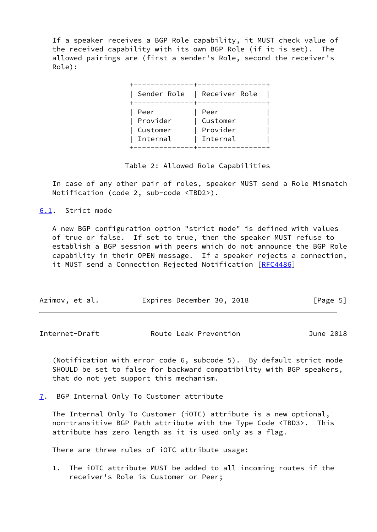If a speaker receives a BGP Role capability, it MUST check value of the received capability with its own BGP Role (if it is set). The allowed pairings are (first a sender's Role, second the receiver's Role):

|                                          | Sender Role   Receiver Role              |
|------------------------------------------|------------------------------------------|
| Peer<br>Provider<br>Customer<br>Internal | Peer<br>Customer<br>Provider<br>Internal |

## Table 2: Allowed Role Capabilities

 In case of any other pair of roles, speaker MUST send a Role Mismatch Notification (code 2, sub-code <TBD2>).

<span id="page-5-0"></span>[6.1](#page-5-0). Strict mode

 A new BGP configuration option "strict mode" is defined with values of true or false. If set to true, then the speaker MUST refuse to establish a BGP session with peers which do not announce the BGP Role capability in their OPEN message. If a speaker rejects a connection, it MUST send a Connection Rejected Notification [\[RFC4486](https://datatracker.ietf.org/doc/pdf/rfc4486)]

| Azimov, et al. | Expires December 30, 2018 | [Page 5] |
|----------------|---------------------------|----------|
|----------------|---------------------------|----------|

<span id="page-5-2"></span>Internet-Draft Route Leak Prevention June 2018

 (Notification with error code 6, subcode 5). By default strict mode SHOULD be set to false for backward compatibility with BGP speakers, that do not yet support this mechanism.

<span id="page-5-1"></span>[7](#page-5-1). BGP Internal Only To Customer attribute

 The Internal Only To Customer (iOTC) attribute is a new optional, non-transitive BGP Path attribute with the Type Code <TBD3>. This attribute has zero length as it is used only as a flag.

There are three rules of iOTC attribute usage:

 1. The iOTC attribute MUST be added to all incoming routes if the receiver's Role is Customer or Peer;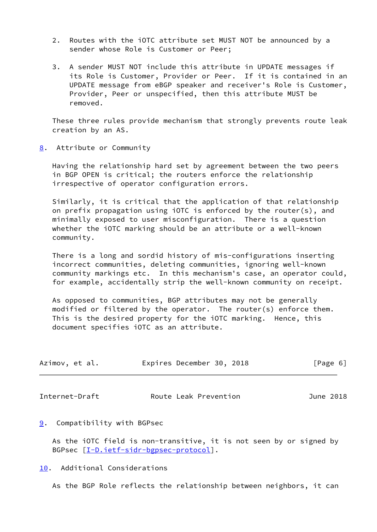- 2. Routes with the iOTC attribute set MUST NOT be announced by a sender whose Role is Customer or Peer;
- 3. A sender MUST NOT include this attribute in UPDATE messages if its Role is Customer, Provider or Peer. If it is contained in an UPDATE message from eBGP speaker and receiver's Role is Customer, Provider, Peer or unspecified, then this attribute MUST be removed.

 These three rules provide mechanism that strongly prevents route leak creation by an AS.

<span id="page-6-0"></span>[8](#page-6-0). Attribute or Community

 Having the relationship hard set by agreement between the two peers in BGP OPEN is critical; the routers enforce the relationship irrespective of operator configuration errors.

 Similarly, it is critical that the application of that relationship on prefix propagation using iOTC is enforced by the router(s), and minimally exposed to user misconfiguration. There is a question whether the iOTC marking should be an attribute or a well-known community.

 There is a long and sordid history of mis-configurations inserting incorrect communities, deleting communities, ignoring well-known community markings etc. In this mechanism's case, an operator could, for example, accidentally strip the well-known community on receipt.

 As opposed to communities, BGP attributes may not be generally modified or filtered by the operator. The router(s) enforce them. This is the desired property for the iOTC marking. Hence, this document specifies iOTC as an attribute.

| Azimov, et al. | Expires December 30, 2018 |  | [Page 6] |  |
|----------------|---------------------------|--|----------|--|
|                |                           |  |          |  |

<span id="page-6-2"></span>Internet-Draft Route Leak Prevention June 2018

#### <span id="page-6-1"></span>[9](#page-6-1). Compatibility with BGPsec

 As the iOTC field is non-transitive, it is not seen by or signed by BGPsec [\[I-D.ietf-sidr-bgpsec-protocol](#page-9-2)].

<span id="page-6-3"></span>[10.](#page-6-3) Additional Considerations

As the BGP Role reflects the relationship between neighbors, it can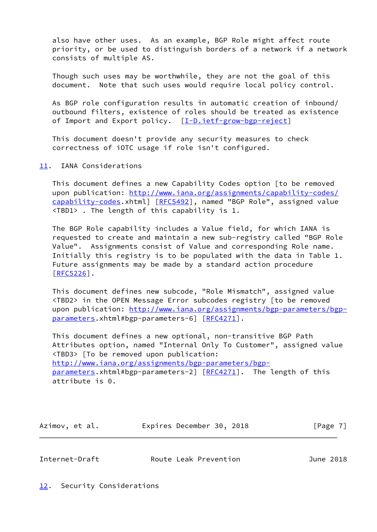also have other uses. As an example, BGP Role might affect route priority, or be used to distinguish borders of a network if a network consists of multiple AS.

 Though such uses may be worthwhile, they are not the goal of this document. Note that such uses would require local policy control.

 As BGP role configuration results in automatic creation of inbound/ outbound filters, existence of roles should be treated as existence of Import and Export policy. [[I-D.ietf-grow-bgp-reject\]](#page-8-4)

 This document doesn't provide any security measures to check correctness of iOTC usage if role isn't configured.

<span id="page-7-0"></span>[11.](#page-7-0) IANA Considerations

 This document defines a new Capability Codes option [to be removed upon publication: [http://www.iana.org/assignments/capability-codes/](http://www.iana.org/assignments/capability-codes/capability-codes) [capability-codes](http://www.iana.org/assignments/capability-codes/capability-codes).xhtml] [\[RFC5492](https://datatracker.ietf.org/doc/pdf/rfc5492)], named "BGP Role", assigned value <TBD1> . The length of this capability is 1.

 The BGP Role capability includes a Value field, for which IANA is requested to create and maintain a new sub-registry called "BGP Role Value". Assignments consist of Value and corresponding Role name. Initially this registry is to be populated with the data in Table 1. Future assignments may be made by a standard action procedure [\[RFC5226](https://datatracker.ietf.org/doc/pdf/rfc5226)].

 This document defines new subcode, "Role Mismatch", assigned value <TBD2> in the OPEN Message Error subcodes registry [to be removed upon publication: [http://www.iana.org/assignments/bgp-parameters/bgp](http://www.iana.org/assignments/bgp-parameters/bgp-parameters) [parameters](http://www.iana.org/assignments/bgp-parameters/bgp-parameters).xhtml#bgp-parameters-6] [[RFC4271\]](https://datatracker.ietf.org/doc/pdf/rfc4271).

 This document defines a new optional, non-transitive BGP Path Attributes option, named "Internal Only To Customer", assigned value <TBD3> [To be removed upon publication: [http://www.iana.org/assignments/bgp-parameters/bgp](http://www.iana.org/assignments/bgp-parameters/bgp-parameters) [parameters](http://www.iana.org/assignments/bgp-parameters/bgp-parameters).xhtml#bgp-parameters-2] [[RFC4271\]](https://datatracker.ietf.org/doc/pdf/rfc4271). The length of this attribute is 0.

| Azimov, et al. | Expires December 30, 2018 |  | [Page 7] |
|----------------|---------------------------|--|----------|
|----------------|---------------------------|--|----------|

<span id="page-7-1"></span>

<span id="page-7-2"></span>Internet-Draft **Route Leak Prevention** June 2018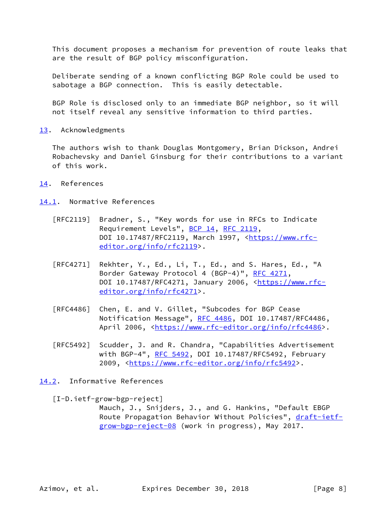This document proposes a mechanism for prevention of route leaks that are the result of BGP policy misconfiguration.

 Deliberate sending of a known conflicting BGP Role could be used to sabotage a BGP connection. This is easily detectable.

 BGP Role is disclosed only to an immediate BGP neighbor, so it will not itself reveal any sensitive information to third parties.

<span id="page-8-0"></span>[13.](#page-8-0) Acknowledgments

 The authors wish to thank Douglas Montgomery, Brian Dickson, Andrei Robachevsky and Daniel Ginsburg for their contributions to a variant of this work.

- <span id="page-8-1"></span>[14.](#page-8-1) References
- <span id="page-8-2"></span>[14.1](#page-8-2). Normative References
	- [RFC2119] Bradner, S., "Key words for use in RFCs to Indicate Requirement Levels", [BCP 14](https://datatracker.ietf.org/doc/pdf/bcp14), [RFC 2119](https://datatracker.ietf.org/doc/pdf/rfc2119), DOI 10.17487/RFC2119, March 1997, [<https://www.rfc](https://www.rfc-editor.org/info/rfc2119) [editor.org/info/rfc2119](https://www.rfc-editor.org/info/rfc2119)>.
	- [RFC4271] Rekhter, Y., Ed., Li, T., Ed., and S. Hares, Ed., "A Border Gateway Protocol 4 (BGP-4)", [RFC 4271,](https://datatracker.ietf.org/doc/pdf/rfc4271) DOI 10.17487/RFC4271, January 2006, [<https://www.rfc](https://www.rfc-editor.org/info/rfc4271) [editor.org/info/rfc4271](https://www.rfc-editor.org/info/rfc4271)>.
	- [RFC4486] Chen, E. and V. Gillet, "Subcodes for BGP Cease Notification Message", [RFC 4486](https://datatracker.ietf.org/doc/pdf/rfc4486), DOI 10.17487/RFC4486, April 2006, [<https://www.rfc-editor.org/info/rfc4486](https://www.rfc-editor.org/info/rfc4486)>.
	- [RFC5492] Scudder, J. and R. Chandra, "Capabilities Advertisement with BGP-4", [RFC 5492](https://datatracker.ietf.org/doc/pdf/rfc5492), DOI 10.17487/RFC5492, February 2009, [<https://www.rfc-editor.org/info/rfc5492](https://www.rfc-editor.org/info/rfc5492)>.
- <span id="page-8-3"></span>[14.2](#page-8-3). Informative References

<span id="page-8-4"></span>[I-D.ietf-grow-bgp-reject]

 Mauch, J., Snijders, J., and G. Hankins, "Default EBGP Route Propagation Behavior Without Policies", [draft-ietf](https://datatracker.ietf.org/doc/pdf/draft-ietf-grow-bgp-reject-08) [grow-bgp-reject-08](https://datatracker.ietf.org/doc/pdf/draft-ietf-grow-bgp-reject-08) (work in progress), May 2017.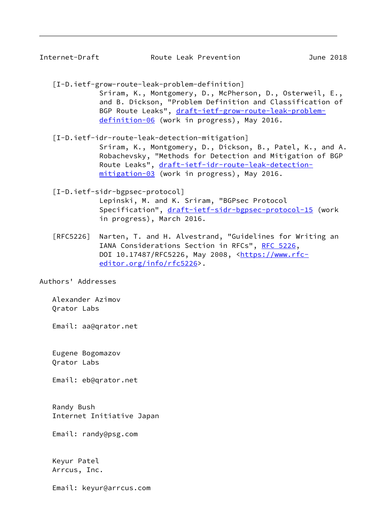<span id="page-9-0"></span>

| Internet-Draft | Route Leak Prevention | June 2018 |  |
|----------------|-----------------------|-----------|--|
|                |                       |           |  |

- <span id="page-9-1"></span> [I-D.ietf-grow-route-leak-problem-definition] Sriram, K., Montgomery, D., McPherson, D., Osterweil, E., and B. Dickson, "Problem Definition and Classification of BGP Route Leaks", [draft-ietf-grow-route-leak-problem](https://datatracker.ietf.org/doc/pdf/draft-ietf-grow-route-leak-problem-definition-06) [definition-06](https://datatracker.ietf.org/doc/pdf/draft-ietf-grow-route-leak-problem-definition-06) (work in progress), May 2016.
- [I-D.ietf-idr-route-leak-detection-mitigation] Sriram, K., Montgomery, D., Dickson, B., Patel, K., and A. Robachevsky, "Methods for Detection and Mitigation of BGP Route Leaks", [draft-ietf-idr-route-leak-detection](https://datatracker.ietf.org/doc/pdf/draft-ietf-idr-route-leak-detection-mitigation-03) [mitigation-03](https://datatracker.ietf.org/doc/pdf/draft-ietf-idr-route-leak-detection-mitigation-03) (work in progress), May 2016.
- <span id="page-9-2"></span> [I-D.ietf-sidr-bgpsec-protocol] Lepinski, M. and K. Sriram, "BGPsec Protocol Specification", [draft-ietf-sidr-bgpsec-protocol-15](https://datatracker.ietf.org/doc/pdf/draft-ietf-sidr-bgpsec-protocol-15) (work in progress), March 2016.
- [RFC5226] Narten, T. and H. Alvestrand, "Guidelines for Writing an IANA Considerations Section in RFCs", [RFC 5226](https://datatracker.ietf.org/doc/pdf/rfc5226), DOI 10.17487/RFC5226, May 2008, <[https://www.rfc](https://www.rfc-editor.org/info/rfc5226) [editor.org/info/rfc5226](https://www.rfc-editor.org/info/rfc5226)>.

Authors' Addresses

 Alexander Azimov Qrator Labs

Email: aa@qrator.net

 Eugene Bogomazov Qrator Labs

Email: eb@qrator.net

 Randy Bush Internet Initiative Japan

Email: randy@psg.com

 Keyur Patel Arrcus, Inc.

Email: keyur@arrcus.com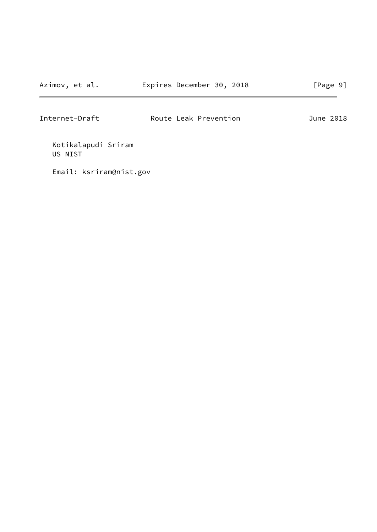Internet-Draft Route Leak Prevention June 2018

 Kotikalapudi Sriram US NIST

Email: ksriram@nist.gov